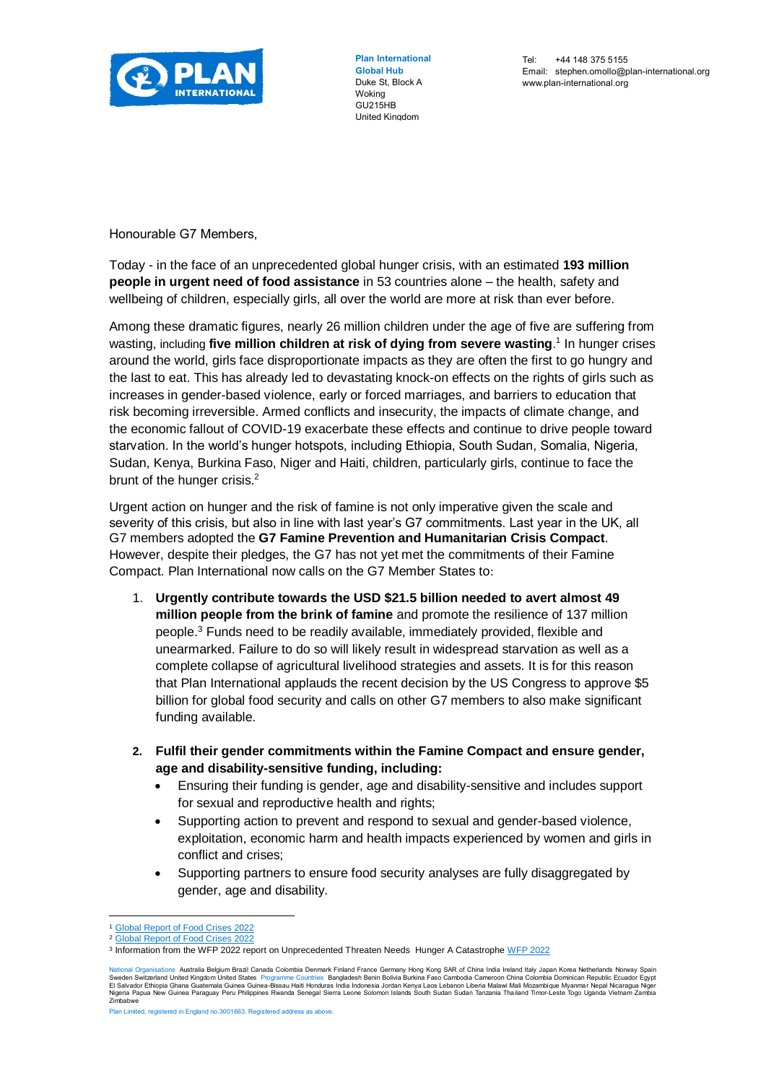

**Plan International Global Hub** Duke St, Block A Woking GU215HB United Kingdom

Honourable G7 Members,

Today - in the face of an unprecedented global hunger crisis, with an estimated **193 million people in urgent need of food assistance** in 53 countries alone – the health, safety and wellbeing of children, especially girls, all over the world are more at risk than ever before.

Among these dramatic figures, nearly 26 million children under the age of five are suffering from wasting, including **five million children at risk of dying from severe wasting**.<sup>1</sup> In hunger crises around the world, girls face disproportionate impacts as they are often the first to go hungry and the last to eat. This has already led to devastating knock-on effects on the rights of girls such as increases in gender-based violence, early or forced marriages, and barriers to education that risk becoming irreversible. Armed conflicts and insecurity, the impacts of climate change, and the economic fallout of COVID-19 exacerbate these effects and continue to drive people toward starvation. In the world's hunger hotspots, including Ethiopia, South Sudan, Somalia, Nigeria, Sudan, Kenya, Burkina Faso, Niger and Haiti, children, particularly girls, continue to face the brunt of the hunger crisis. $2$ 

Urgent action on hunger and the risk of famine is not only imperative given the scale and severity of this crisis, but also in line with last year's G7 commitments. Last year in the UK, all G7 members adopted the **G7 Famine Prevention and Humanitarian Crisis Compact**. However, despite their pledges, the G7 has not yet met the commitments of their Famine Compact. Plan International now calls on the G7 Member States to:

- 1. **Urgently contribute towards the USD \$21.5 billion needed to avert almost 49 million people from the brink of famine** and promote the resilience of 137 million people.<sup>3</sup> Funds need to be readily available, immediately provided, flexible and unearmarked. Failure to do so will likely result in widespread starvation as well as a complete collapse of agricultural livelihood strategies and assets. It is for this reason that Plan International applauds the recent decision by the US Congress to approve \$5 billion for global food security and calls on other G7 members to also make significant funding available.
- **2. Fulfil their gender commitments within the Famine Compact and ensure gender, age and disability-sensitive funding, including:**
	- Ensuring their funding is gender, age and disability-sensitive and includes support for sexual and reproductive health and rights;
	- Supporting action to prevent and respond to sexual and gender-based violence, exploitation, economic harm and health impacts experienced by women and girls in conflict and crises;
	- Supporting partners to ensure food security analyses are fully disaggregated by gender, age and disability.

 $\overline{a}$ 

[Global Report of Food Crises 2022](https://docs.wfp.org/api/documents/WFP-0000138913/download/?_ga=2.7655287.414756951.1651735268-125975723.1651735268) <sup>2</sup> [Global Report of Food Crises 2022](https://docs.wfp.org/api/documents/WFP-0000138913/download/?_ga=2.7655287.414756951.1651735268-125975723.1651735268)

<sup>&</sup>lt;sup>3</sup> Information from th[e WFP 2022](https://docs.wfp.org/api/documents/WFP-0000138231/download/?_ga=2.215465872.643674237.1651833030-125975723.1651735268) report on Unprecedented Threaten Needs Hunger A Catastrophe WFP 2022

National Organisations Australia Belgium Brazil Canada Colombia Demank Finland France Germany Hong Kong SAR of China India Income Sover Serientands Norway Spain<br>Sweden Switzerland United Kingdom United States Programme Cou

Plan Limited, registered in England no.3001663. Registered address as above.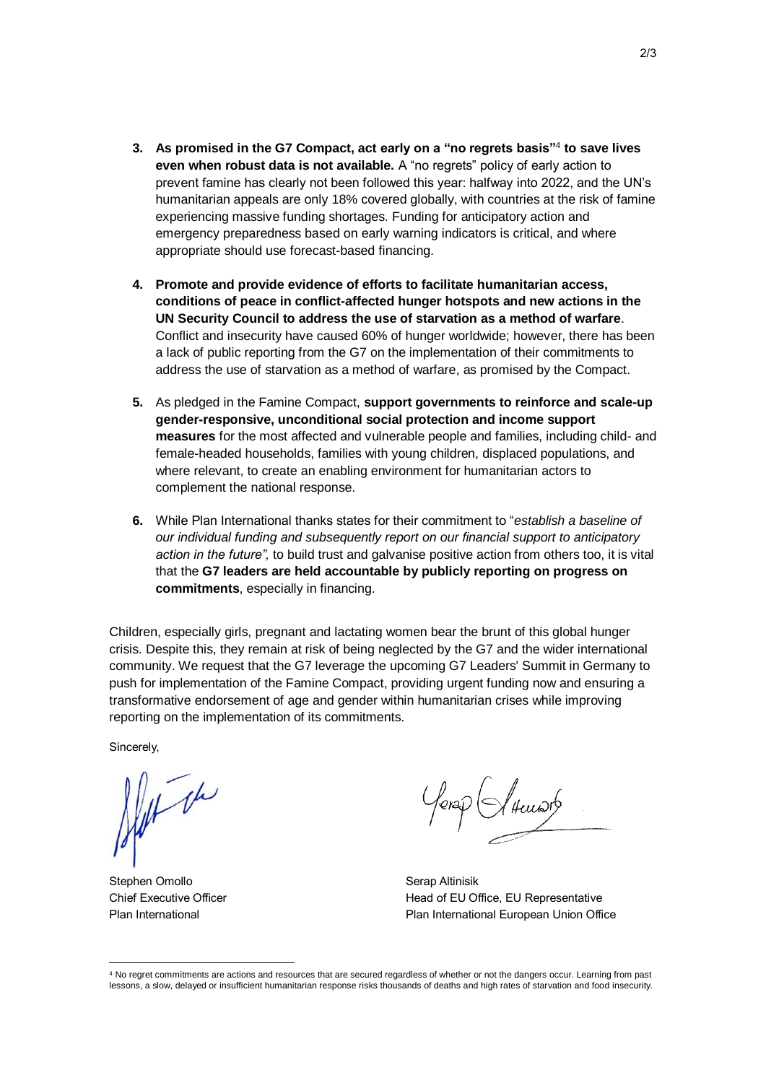- **3. As promised in the G7 Compact, act early on a "no regrets basis"**<sup>4</sup> **to save lives even when robust data is not available.** A "no regrets" policy of early action to prevent famine has clearly not been followed this year: halfway into 2022, and the UN's humanitarian appeals are only 18% covered globally, with countries at the risk of famine experiencing massive funding shortages. Funding for anticipatory action and emergency preparedness based on early warning indicators is critical, and where appropriate should use forecast-based financing.
- **4. Promote and provide evidence of efforts to facilitate humanitarian access, conditions of peace in conflict-affected hunger hotspots and new actions in the UN Security Council to address the use of starvation as a method of warfare**. Conflict and insecurity have caused 60% of hunger worldwide; however, there has been a lack of public reporting from the G7 on the implementation of their commitments to address the use of starvation as a method of warfare, as promised by the Compact.
- **5.** As pledged in the Famine Compact, **support governments to reinforce and scale-up gender-responsive, unconditional social protection and income support measures** for the most affected and vulnerable people and families, including child- and female-headed households, families with young children, displaced populations, and where relevant, to create an enabling environment for humanitarian actors to complement the national response.
- **6.** While Plan International thanks states for their commitment to "*establish a baseline of our individual funding and subsequently report on our financial support to anticipatory action in the future",* to build trust and galvanise positive action from others too, it is vital that the **G7 leaders are held accountable by publicly reporting on progress on commitments**, especially in financing.

Children, especially girls, pregnant and lactating women bear the brunt of this global hunger crisis. Despite this, they remain at risk of being neglected by the G7 and the wider international community. We request that the G7 leverage the upcoming G7 Leaders' Summit in Germany to push for implementation of the Famine Compact, providing urgent funding now and ensuring a transformative endorsement of age and gender within humanitarian crises while improving reporting on the implementation of its commitments.

Sincerely,

 $\overline{a}$ 

Alex the

Stephen Omollo Chief Executive Officer Plan International

fera $\rho$  (I thewarb

Serap Altinisik Head of EU Office, EU Representative Plan International European Union Office

<sup>4</sup> No regret commitments are actions and resources that are secured regardless of whether or not the dangers occur. Learning from past lessons, a slow, delayed or insufficient humanitarian response risks thousands of deaths and high rates of starvation and food insecurity.